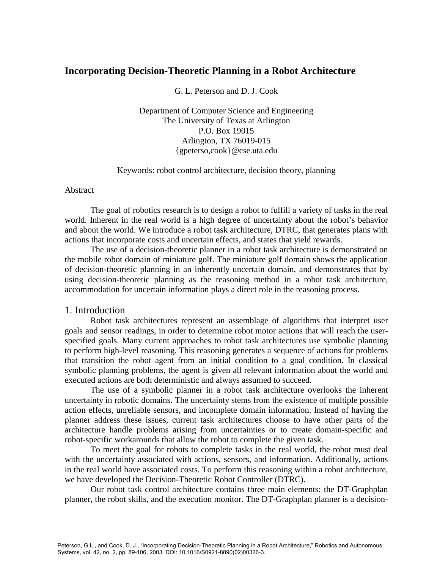# **Incorporating Decision-Theoretic Planning in a Robot Architecture**

G. L. Peterson and D. J. Cook

Department of Computer Science and Engineering The University of Texas at Arlington P.O. Box 19015 Arlington, TX 76019-015 {gpeterso,cook}@cse.uta.edu

Keywords: robot control architecture, decision theory, planning

#### Abstract

The goal of robotics research is to design a robot to fulfill a variety of tasks in the real world. Inherent in the real world is a high degree of uncertainty about the robot's behavior and about the world. We introduce a robot task architecture, DTRC, that generates plans with actions that incorporate costs and uncertain effects, and states that yield rewards.

The use of a decision-theoretic planner in a robot task architecture is demonstrated on the mobile robot domain of miniature golf. The miniature golf domain shows the application of decision-theoretic planning in an inherently uncertain domain, and demonstrates that by using decision-theoretic planning as the reasoning method in a robot task architecture, accommodation for uncertain information plays a direct role in the reasoning process.

#### 1. Introduction

 Robot task architectures represent an assemblage of algorithms that interpret user goals and sensor readings, in order to determine robot motor actions that will reach the userspecified goals. Many current approaches to robot task architectures use symbolic planning to perform high-level reasoning. This reasoning generates a sequence of actions for problems that transition the robot agent from an initial condition to a goal condition. In classical symbolic planning problems, the agent is given all relevant information about the world and executed actions are both deterministic and always assumed to succeed.

 The use of a symbolic planner in a robot task architecture overlooks the inherent uncertainty in robotic domains. The uncertainty stems from the existence of multiple possible action effects, unreliable sensors, and incomplete domain information. Instead of having the planner address these issues, current task architectures choose to have other parts of the architecture handle problems arising from uncertainties or to create domain-specific and robot-specific workarounds that allow the robot to complete the given task.

 To meet the goal for robots to complete tasks in the real world, the robot must deal with the uncertainty associated with actions, sensors, and information. Additionally, actions in the real world have associated costs. To perform this reasoning within a robot architecture, we have developed the Decision-Theoretic Robot Controller (DTRC).

 Our robot task control architecture contains three main elements: the DT-Graphplan planner, the robot skills, and the execution monitor. The DT-Graphplan planner is a decision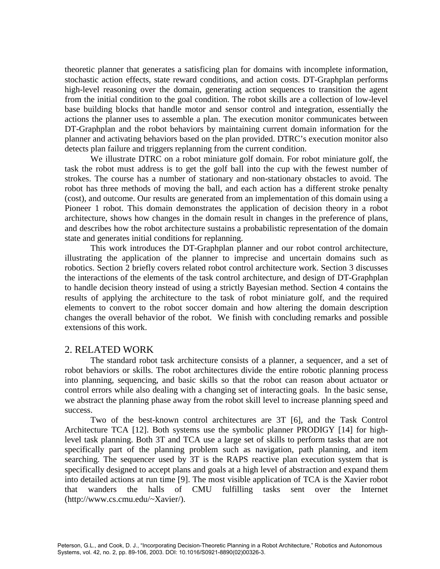theoretic planner that generates a satisficing plan for domains with incomplete information, stochastic action effects, state reward conditions, and action costs. DT-Graphplan performs high-level reasoning over the domain, generating action sequences to transition the agent from the initial condition to the goal condition. The robot skills are a collection of low-level base building blocks that handle motor and sensor control and integration, essentially the actions the planner uses to assemble a plan. The execution monitor communicates between DT-Graphplan and the robot behaviors by maintaining current domain information for the planner and activating behaviors based on the plan provided. DTRC's execution monitor also detects plan failure and triggers replanning from the current condition.

 We illustrate DTRC on a robot miniature golf domain. For robot miniature golf, the task the robot must address is to get the golf ball into the cup with the fewest number of strokes. The course has a number of stationary and non-stationary obstacles to avoid. The robot has three methods of moving the ball, and each action has a different stroke penalty (cost), and outcome. Our results are generated from an implementation of this domain using a Pioneer 1 robot. This domain demonstrates the application of decision theory in a robot architecture, shows how changes in the domain result in changes in the preference of plans, and describes how the robot architecture sustains a probabilistic representation of the domain state and generates initial conditions for replanning.

This work introduces the DT-Graphplan planner and our robot control architecture, illustrating the application of the planner to imprecise and uncertain domains such as robotics. Section 2 briefly covers related robot control architecture work. Section 3 discusses the interactions of the elements of the task control architecture, and design of DT-Graphplan to handle decision theory instead of using a strictly Bayesian method. Section 4 contains the results of applying the architecture to the task of robot miniature golf, and the required elements to convert to the robot soccer domain and how altering the domain description changes the overall behavior of the robot. We finish with concluding remarks and possible extensions of this work.

## 2. RELATED WORK

The standard robot task architecture consists of a planner, a sequencer, and a set of robot behaviors or skills. The robot architectures divide the entire robotic planning process into planning, sequencing, and basic skills so that the robot can reason about actuator or control errors while also dealing with a changing set of interacting goals. In the basic sense, we abstract the planning phase away from the robot skill level to increase planning speed and success.

 Two of the best-known control architectures are 3T [6], and the Task Control Architecture TCA [12]. Both systems use the symbolic planner PRODIGY [14] for highlevel task planning. Both 3T and TCA use a large set of skills to perform tasks that are not specifically part of the planning problem such as navigation, path planning, and item searching. The sequencer used by 3T is the RAPS reactive plan execution system that is specifically designed to accept plans and goals at a high level of abstraction and expand them into detailed actions at run time [9]. The most visible application of TCA is the Xavier robot that wanders the halls of CMU fulfilling tasks sent over the Internet (http://www.cs.cmu.edu/~Xavier/).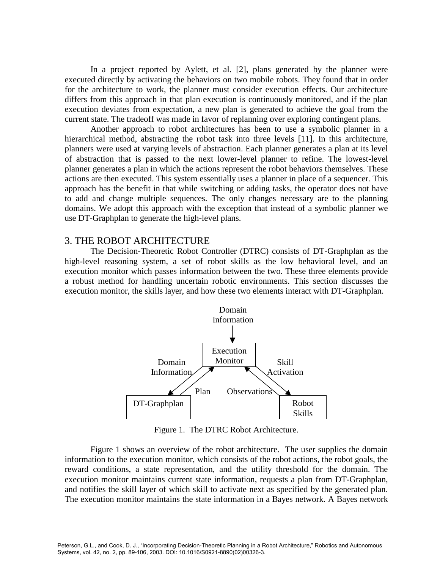In a project reported by Aylett, et al. [2], plans generated by the planner were executed directly by activating the behaviors on two mobile robots. They found that in order for the architecture to work, the planner must consider execution effects. Our architecture differs from this approach in that plan execution is continuously monitored, and if the plan execution deviates from expectation, a new plan is generated to achieve the goal from the current state. The tradeoff was made in favor of replanning over exploring contingent plans.

 Another approach to robot architectures has been to use a symbolic planner in a hierarchical method, abstracting the robot task into three levels [11]. In this architecture, planners were used at varying levels of abstraction. Each planner generates a plan at its level of abstraction that is passed to the next lower-level planner to refine. The lowest-level planner generates a plan in which the actions represent the robot behaviors themselves. These actions are then executed. This system essentially uses a planner in place of a sequencer. This approach has the benefit in that while switching or adding tasks, the operator does not have to add and change multiple sequences. The only changes necessary are to the planning domains. We adopt this approach with the exception that instead of a symbolic planner we use DT-Graphplan to generate the high-level plans.

#### 3. THE ROBOT ARCHITECTURE

 The Decision-Theoretic Robot Controller (DTRC) consists of DT-Graphplan as the high-level reasoning system, a set of robot skills as the low behavioral level, and an execution monitor which passes information between the two. These three elements provide a robust method for handling uncertain robotic environments. This section discusses the execution monitor, the skills layer, and how these two elements interact with DT-Graphplan.



Figure 1. The DTRC Robot Architecture.

 Figure 1 shows an overview of the robot architecture. The user supplies the domain information to the execution monitor, which consists of the robot actions, the robot goals, the reward conditions, a state representation, and the utility threshold for the domain. The execution monitor maintains current state information, requests a plan from DT-Graphplan, and notifies the skill layer of which skill to activate next as specified by the generated plan. The execution monitor maintains the state information in a Bayes network. A Bayes network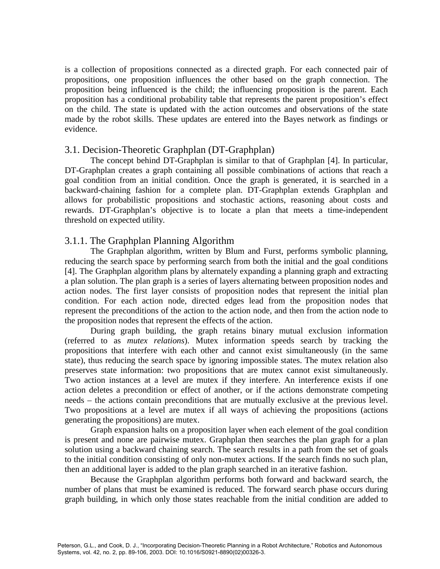is a collection of propositions connected as a directed graph. For each connected pair of propositions, one proposition influences the other based on the graph connection. The proposition being influenced is the child; the influencing proposition is the parent. Each proposition has a conditional probability table that represents the parent proposition's effect on the child. The state is updated with the action outcomes and observations of the state made by the robot skills. These updates are entered into the Bayes network as findings or evidence.

## 3.1. Decision-Theoretic Graphplan (DT-Graphplan)

 The concept behind DT-Graphplan is similar to that of Graphplan [4]. In particular, DT-Graphplan creates a graph containing all possible combinations of actions that reach a goal condition from an initial condition. Once the graph is generated, it is searched in a backward-chaining fashion for a complete plan. DT-Graphplan extends Graphplan and allows for probabilistic propositions and stochastic actions, reasoning about costs and rewards. DT-Graphplan's objective is to locate a plan that meets a time-independent threshold on expected utility.

## 3.1.1. The Graphplan Planning Algorithm

The Graphplan algorithm, written by Blum and Furst, performs symbolic planning, reducing the search space by performing search from both the initial and the goal conditions [4]. The Graphplan algorithm plans by alternately expanding a planning graph and extracting a plan solution. The plan graph is a series of layers alternating between proposition nodes and action nodes. The first layer consists of proposition nodes that represent the initial plan condition. For each action node, directed edges lead from the proposition nodes that represent the preconditions of the action to the action node, and then from the action node to the proposition nodes that represent the effects of the action.

 During graph building, the graph retains binary mutual exclusion information (referred to as *mutex relations*). Mutex information speeds search by tracking the propositions that interfere with each other and cannot exist simultaneously (in the same state), thus reducing the search space by ignoring impossible states. The mutex relation also preserves state information: two propositions that are mutex cannot exist simultaneously. Two action instances at a level are mutex if they interfere. An interference exists if one action deletes a precondition or effect of another, or if the actions demonstrate competing needs – the actions contain preconditions that are mutually exclusive at the previous level. Two propositions at a level are mutex if all ways of achieving the propositions (actions generating the propositions) are mutex.

 Graph expansion halts on a proposition layer when each element of the goal condition is present and none are pairwise mutex. Graphplan then searches the plan graph for a plan solution using a backward chaining search. The search results in a path from the set of goals to the initial condition consisting of only non-mutex actions. If the search finds no such plan, then an additional layer is added to the plan graph searched in an iterative fashion.

Because the Graphplan algorithm performs both forward and backward search, the number of plans that must be examined is reduced. The forward search phase occurs during graph building, in which only those states reachable from the initial condition are added to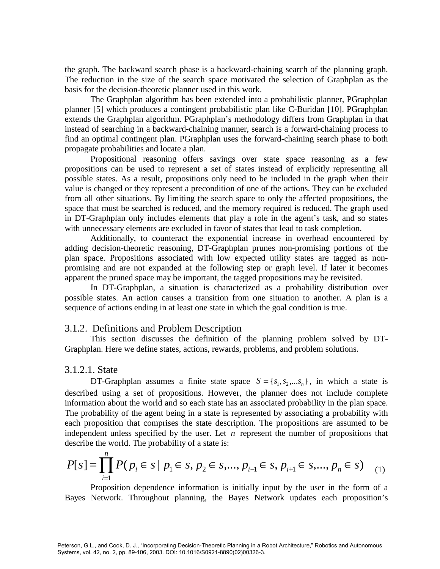the graph. The backward search phase is a backward-chaining search of the planning graph. The reduction in the size of the search space motivated the selection of Graphplan as the basis for the decision-theoretic planner used in this work.

The Graphplan algorithm has been extended into a probabilistic planner, PGraphplan planner [5] which produces a contingent probabilistic plan like C-Buridan [10]. PGraphplan extends the Graphplan algorithm. PGraphplan's methodology differs from Graphplan in that instead of searching in a backward-chaining manner, search is a forward-chaining process to find an optimal contingent plan. PGraphplan uses the forward-chaining search phase to both propagate probabilities and locate a plan.

 Propositional reasoning offers savings over state space reasoning as a few propositions can be used to represent a set of states instead of explicitly representing all possible states. As a result, propositions only need to be included in the graph when their value is changed or they represent a precondition of one of the actions. They can be excluded from all other situations. By limiting the search space to only the affected propositions, the space that must be searched is reduced, and the memory required is reduced. The graph used in DT-Graphplan only includes elements that play a role in the agent's task, and so states with unnecessary elements are excluded in favor of states that lead to task completion.

 Additionally, to counteract the exponential increase in overhead encountered by adding decision-theoretic reasoning, DT-Graphplan prunes non-promising portions of the plan space. Propositions associated with low expected utility states are tagged as nonpromising and are not expanded at the following step or graph level. If later it becomes apparent the pruned space may be important, the tagged propositions may be revisited.

 In DT-Graphplan, a situation is characterized as a probability distribution over possible states. An action causes a transition from one situation to another. A plan is a sequence of actions ending in at least one state in which the goal condition is true.

## 3.1.2. Definitions and Problem Description

 This section discusses the definition of the planning problem solved by DT-Graphplan. Here we define states, actions, rewards, problems, and problem solutions.

## 3.1.2.1. State

DT-Graphplan assumes a finite state space  $S = \{s_1, s_2, \ldots, s_n\}$ , in which a state is described using a set of propositions. However, the planner does not include complete information about the world and so each state has an associated probability in the plan space. The probability of the agent being in a state is represented by associating a probability with each proposition that comprises the state description. The propositions are assumed to be independent unless specified by the user. Let *n* represent the number of propositions that describe the world. The probability of a state is:

$$
P[s] = \prod_{i=1}^{n} P(p_i \in s \mid p_1 \in s, p_2 \in s, \dots, p_{i-1} \in s, p_{i+1} \in s, \dots, p_n \in s) \tag{1}
$$

 Proposition dependence information is initially input by the user in the form of a Bayes Network. Throughout planning, the Bayes Network updates each proposition's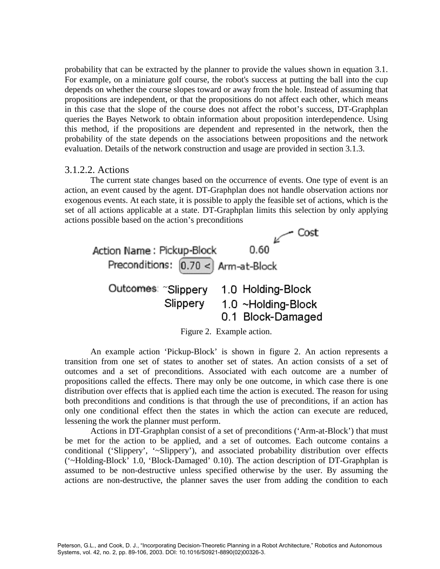probability that can be extracted by the planner to provide the values shown in equation 3.1. For example, on a miniature golf course, the robot's success at putting the ball into the cup depends on whether the course slopes toward or away from the hole. Instead of assuming that propositions are independent, or that the propositions do not affect each other, which means in this case that the slope of the course does not affect the robot's success, DT-Graphplan queries the Bayes Network to obtain information about proposition interdependence. Using this method, if the propositions are dependent and represented in the network, then the probability of the state depends on the associations between propositions and the network evaluation. Details of the network construction and usage are provided in section 3.1.3.

## 3.1.2.2. Actions

The current state changes based on the occurrence of events. One type of event is an action, an event caused by the agent. DT-Graphplan does not handle observation actions nor exogenous events. At each state, it is possible to apply the feasible set of actions, which is the set of all actions applicable at a state. DT-Graphplan limits this selection by only applying actions possible based on the action's preconditions

| Action Name: Pickup-Block                    | 0.60                                                         |
|----------------------------------------------|--------------------------------------------------------------|
| Preconditions: $\boxed{0.70}$ < Arm-at-Block |                                                              |
| Outcomes: Slippery<br>Slippery               | 1.0 Holding-Block<br>1.0 ~Holding-Block<br>0.1 Block-Damaged |



An example action 'Pickup-Block' is shown in figure 2. An action represents a transition from one set of states to another set of states. An action consists of a set of outcomes and a set of preconditions. Associated with each outcome are a number of propositions called the effects. There may only be one outcome, in which case there is one distribution over effects that is applied each time the action is executed. The reason for using both preconditions and conditions is that through the use of preconditions, if an action has only one conditional effect then the states in which the action can execute are reduced, lessening the work the planner must perform.

Actions in DT-Graphplan consist of a set of preconditions ('Arm-at-Block') that must be met for the action to be applied, and a set of outcomes. Each outcome contains a conditional ('Slippery', '~Slippery'), and associated probability distribution over effects ('~Holding-Block' 1.0, 'Block-Damaged' 0.10). The action description of DT-Graphplan is assumed to be non-destructive unless specified otherwise by the user. By assuming the actions are non-destructive, the planner saves the user from adding the condition to each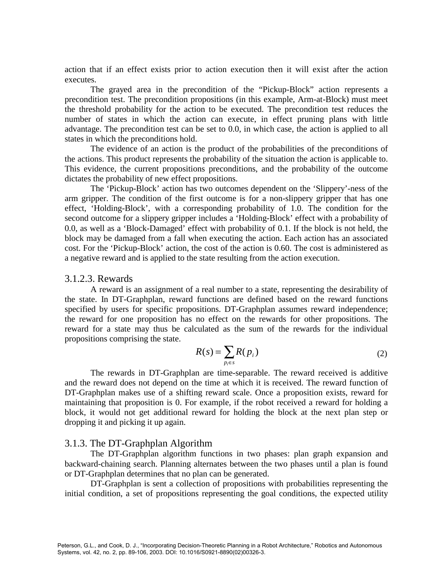action that if an effect exists prior to action execution then it will exist after the action executes.

The grayed area in the precondition of the "Pickup-Block" action represents a precondition test. The precondition propositions (in this example, Arm-at-Block) must meet the threshold probability for the action to be executed. The precondition test reduces the number of states in which the action can execute, in effect pruning plans with little advantage. The precondition test can be set to 0.0, in which case, the action is applied to all states in which the preconditions hold.

The evidence of an action is the product of the probabilities of the preconditions of the actions. This product represents the probability of the situation the action is applicable to. This evidence, the current propositions preconditions, and the probability of the outcome dictates the probability of new effect propositions.

The 'Pickup-Block' action has two outcomes dependent on the 'Slippery'-ness of the arm gripper. The condition of the first outcome is for a non-slippery gripper that has one effect, 'Holding-Block', with a corresponding probability of 1.0. The condition for the second outcome for a slippery gripper includes a 'Holding-Block' effect with a probability of 0.0, as well as a 'Block-Damaged' effect with probability of 0.1. If the block is not held, the block may be damaged from a fall when executing the action. Each action has an associated cost. For the 'Pickup-Block' action, the cost of the action is 0.60. The cost is administered as a negative reward and is applied to the state resulting from the action execution.

#### 3.1.2.3. Rewards

 A reward is an assignment of a real number to a state, representing the desirability of the state. In DT-Graphplan, reward functions are defined based on the reward functions specified by users for specific propositions. DT-Graphplan assumes reward independence; the reward for one proposition has no effect on the rewards for other propositions. The reward for a state may thus be calculated as the sum of the rewards for the individual propositions comprising the state.

$$
R(s) = \sum_{p_i \in s} R(p_i)
$$
 (2)

 The rewards in DT-Graphplan are time-separable. The reward received is additive and the reward does not depend on the time at which it is received. The reward function of DT-Graphplan makes use of a shifting reward scale. Once a proposition exists, reward for maintaining that proposition is 0. For example, if the robot received a reward for holding a block, it would not get additional reward for holding the block at the next plan step or dropping it and picking it up again.

#### 3.1.3. The DT-Graphplan Algorithm

 The DT-Graphplan algorithm functions in two phases: plan graph expansion and backward-chaining search. Planning alternates between the two phases until a plan is found or DT-Graphplan determines that no plan can be generated.

DT-Graphplan is sent a collection of propositions with probabilities representing the initial condition, a set of propositions representing the goal conditions, the expected utility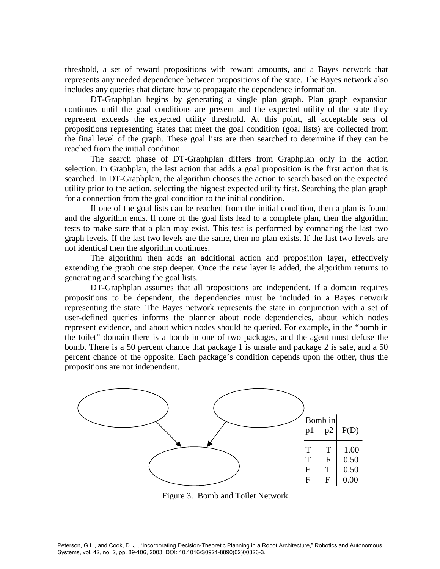threshold, a set of reward propositions with reward amounts, and a Bayes network that represents any needed dependence between propositions of the state. The Bayes network also includes any queries that dictate how to propagate the dependence information.

 DT-Graphplan begins by generating a single plan graph. Plan graph expansion continues until the goal conditions are present and the expected utility of the state they represent exceeds the expected utility threshold. At this point, all acceptable sets of propositions representing states that meet the goal condition (goal lists) are collected from the final level of the graph. These goal lists are then searched to determine if they can be reached from the initial condition.

 The search phase of DT-Graphplan differs from Graphplan only in the action selection. In Graphplan, the last action that adds a goal proposition is the first action that is searched. In DT-Graphplan, the algorithm chooses the action to search based on the expected utility prior to the action, selecting the highest expected utility first. Searching the plan graph for a connection from the goal condition to the initial condition.

If one of the goal lists can be reached from the initial condition, then a plan is found and the algorithm ends. If none of the goal lists lead to a complete plan, then the algorithm tests to make sure that a plan may exist. This test is performed by comparing the last two graph levels. If the last two levels are the same, then no plan exists. If the last two levels are not identical then the algorithm continues.

 The algorithm then adds an additional action and proposition layer, effectively extending the graph one step deeper. Once the new layer is added, the algorithm returns to generating and searching the goal lists.

 DT-Graphplan assumes that all propositions are independent. If a domain requires propositions to be dependent, the dependencies must be included in a Bayes network representing the state. The Bayes network represents the state in conjunction with a set of user-defined queries informs the planner about node dependencies, about which nodes represent evidence, and about which nodes should be queried. For example, in the "bomb in the toilet" domain there is a bomb in one of two packages, and the agent must defuse the bomb. There is a 50 percent chance that package 1 is unsafe and package 2 is safe, and a 50 percent chance of the opposite. Each package's condition depends upon the other, thus the propositions are not independent.



Figure 3. Bomb and Toilet Network.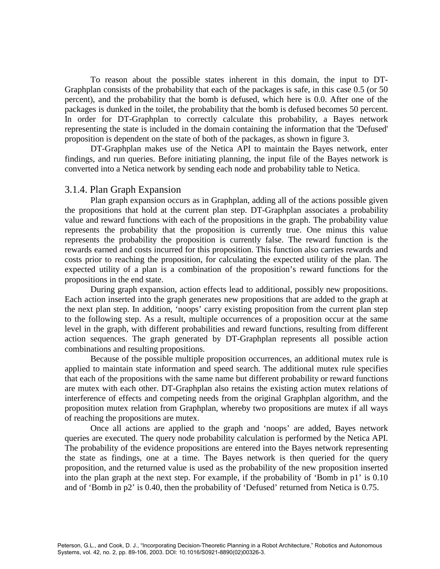To reason about the possible states inherent in this domain, the input to DT-Graphplan consists of the probability that each of the packages is safe, in this case 0.5 (or 50 percent), and the probability that the bomb is defused, which here is 0.0. After one of the packages is dunked in the toilet, the probability that the bomb is defused becomes 50 percent. In order for DT-Graphplan to correctly calculate this probability, a Bayes network representing the state is included in the domain containing the information that the 'Defused' proposition is dependent on the state of both of the packages, as shown in figure 3.

 DT-Graphplan makes use of the Netica API to maintain the Bayes network, enter findings, and run queries. Before initiating planning, the input file of the Bayes network is converted into a Netica network by sending each node and probability table to Netica.

#### 3.1.4. Plan Graph Expansion

 Plan graph expansion occurs as in Graphplan, adding all of the actions possible given the propositions that hold at the current plan step. DT-Graphplan associates a probability value and reward functions with each of the propositions in the graph. The probability value represents the probability that the proposition is currently true. One minus this value represents the probability the proposition is currently false. The reward function is the rewards earned and costs incurred for this proposition. This function also carries rewards and costs prior to reaching the proposition, for calculating the expected utility of the plan. The expected utility of a plan is a combination of the proposition's reward functions for the propositions in the end state.

 During graph expansion, action effects lead to additional, possibly new propositions. Each action inserted into the graph generates new propositions that are added to the graph at the next plan step. In addition, 'noops' carry existing proposition from the current plan step to the following step. As a result, multiple occurrences of a proposition occur at the same level in the graph, with different probabilities and reward functions, resulting from different action sequences. The graph generated by DT-Graphplan represents all possible action combinations and resulting propositions.

 Because of the possible multiple proposition occurrences, an additional mutex rule is applied to maintain state information and speed search. The additional mutex rule specifies that each of the propositions with the same name but different probability or reward functions are mutex with each other. DT-Graphplan also retains the existing action mutex relations of interference of effects and competing needs from the original Graphplan algorithm, and the proposition mutex relation from Graphplan, whereby two propositions are mutex if all ways of reaching the propositions are mutex.

 Once all actions are applied to the graph and 'noops' are added, Bayes network queries are executed. The query node probability calculation is performed by the Netica API. The probability of the evidence propositions are entered into the Bayes network representing the state as findings, one at a time. The Bayes network is then queried for the query proposition, and the returned value is used as the probability of the new proposition inserted into the plan graph at the next step. For example, if the probability of 'Bomb in p1' is 0.10 and of 'Bomb in p2' is 0.40, then the probability of 'Defused' returned from Netica is 0.75.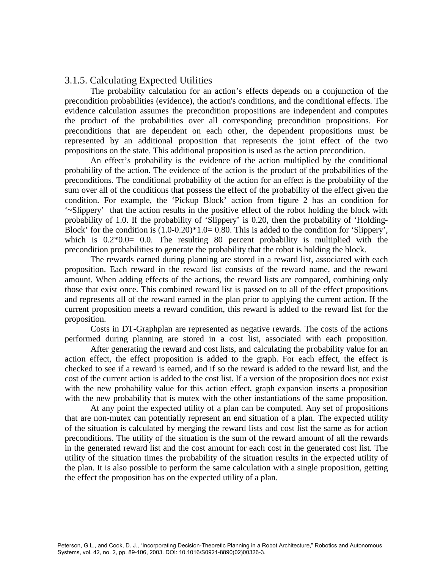## 3.1.5. Calculating Expected Utilities

The probability calculation for an action's effects depends on a conjunction of the precondition probabilities (evidence), the action's conditions, and the conditional effects. The evidence calculation assumes the precondition propositions are independent and computes the product of the probabilities over all corresponding precondition propositions. For preconditions that are dependent on each other, the dependent propositions must be represented by an additional proposition that represents the joint effect of the two propositions on the state. This additional proposition is used as the action precondition.

 An effect's probability is the evidence of the action multiplied by the conditional probability of the action. The evidence of the action is the product of the probabilities of the preconditions. The conditional probability of the action for an effect is the probability of the sum over all of the conditions that possess the effect of the probability of the effect given the condition. For example, the 'Pickup Block' action from figure 2 has an condition for '~Slippery' that the action results in the positive effect of the robot holding the block with probability of 1.0. If the probability of 'Slippery' is 0.20, then the probability of 'Holding-Block' for the condition is  $(1.0-0.20)$ <sup>\*</sup> $1.0=0.80$ . This is added to the condition for 'Slippery', which is  $0.2*0.0=0.0$ . The resulting 80 percent probability is multiplied with the precondition probabilities to generate the probability that the robot is holding the block.

 The rewards earned during planning are stored in a reward list, associated with each proposition. Each reward in the reward list consists of the reward name, and the reward amount. When adding effects of the actions, the reward lists are compared, combining only those that exist once. This combined reward list is passed on to all of the effect propositions and represents all of the reward earned in the plan prior to applying the current action. If the current proposition meets a reward condition, this reward is added to the reward list for the proposition.

 Costs in DT-Graphplan are represented as negative rewards. The costs of the actions performed during planning are stored in a cost list, associated with each proposition.

 After generating the reward and cost lists, and calculating the probability value for an action effect, the effect proposition is added to the graph. For each effect, the effect is checked to see if a reward is earned, and if so the reward is added to the reward list, and the cost of the current action is added to the cost list. If a version of the proposition does not exist with the new probability value for this action effect, graph expansion inserts a proposition with the new probability that is mutex with the other instantiations of the same proposition.

 At any point the expected utility of a plan can be computed. Any set of propositions that are non-mutex can potentially represent an end situation of a plan. The expected utility of the situation is calculated by merging the reward lists and cost list the same as for action preconditions. The utility of the situation is the sum of the reward amount of all the rewards in the generated reward list and the cost amount for each cost in the generated cost list. The utility of the situation times the probability of the situation results in the expected utility of the plan. It is also possible to perform the same calculation with a single proposition, getting the effect the proposition has on the expected utility of a plan.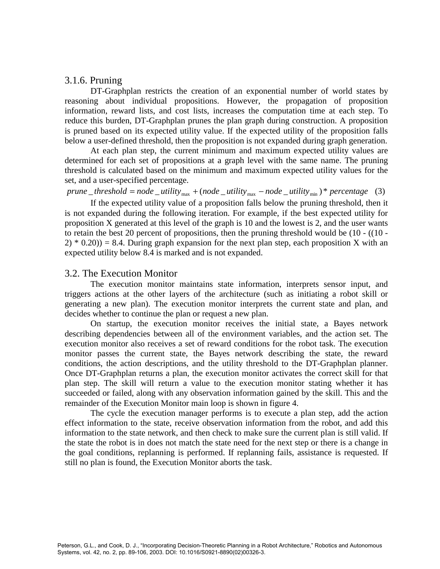## 3.1.6. Pruning

DT-Graphplan restricts the creation of an exponential number of world states by reasoning about individual propositions. However, the propagation of proposition information, reward lists, and cost lists, increases the computation time at each step. To reduce this burden, DT-Graphplan prunes the plan graph during construction. A proposition is pruned based on its expected utility value. If the expected utility of the proposition falls below a user-defined threshold, then the proposition is not expanded during graph generation.

 At each plan step, the current minimum and maximum expected utility values are determined for each set of propositions at a graph level with the same name. The pruning threshold is calculated based on the minimum and maximum expected utility values for the set, and a user-specified percentage.

*prune* \_threshold =  $node\_utility_{max} + (node\_utility_{max} - node\_utility_{min}) * percentage$  (3)

If the expected utility value of a proposition falls below the pruning threshold, then it is not expanded during the following iteration. For example, if the best expected utility for proposition X generated at this level of the graph is 10 and the lowest is 2, and the user wants to retain the best 20 percent of propositions, then the pruning threshold would be (10 - ((10 -  $2) * 0.20$ ) = 8.4. During graph expansion for the next plan step, each proposition X with an expected utility below 8.4 is marked and is not expanded.

## 3.2. The Execution Monitor

The execution monitor maintains state information, interprets sensor input, and triggers actions at the other layers of the architecture (such as initiating a robot skill or generating a new plan). The execution monitor interprets the current state and plan, and decides whether to continue the plan or request a new plan.

 On startup, the execution monitor receives the initial state, a Bayes network describing dependencies between all of the environment variables, and the action set. The execution monitor also receives a set of reward conditions for the robot task. The execution monitor passes the current state, the Bayes network describing the state, the reward conditions, the action descriptions, and the utility threshold to the DT-Graphplan planner. Once DT-Graphplan returns a plan, the execution monitor activates the correct skill for that plan step. The skill will return a value to the execution monitor stating whether it has succeeded or failed, along with any observation information gained by the skill. This and the remainder of the Execution Monitor main loop is shown in figure 4.

The cycle the execution manager performs is to execute a plan step, add the action effect information to the state, receive observation information from the robot, and add this information to the state network, and then check to make sure the current plan is still valid. If the state the robot is in does not match the state need for the next step or there is a change in the goal conditions, replanning is performed. If replanning fails, assistance is requested. If still no plan is found, the Execution Monitor aborts the task.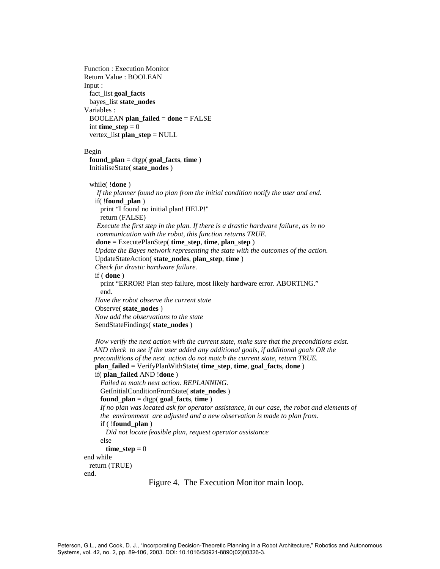```
Function : Execution Monitor 
Return Value : BOOLEAN 
Input : 
  fact_list goal_facts
  bayes_list state_nodes
Variables : 
  BOOLEAN plan_failed = done = FALSE 
 int time_step = 0vertex list plan step = NULL
```
#### Begin

```
 found_plan = dtgp( goal_facts, time ) 
 InitialiseState( state_nodes )
```

```
 while( !done )
```

```
 If the planner found no plan from the initial condition notify the user and end. 
 if( !found_plan ) 
  print "I found no initial plan! HELP!" 
  return (FALSE)
 Execute the first step in the plan. If there is a drastic hardware failure, as in no 
 communication with the robot, this function returns TRUE. 
 done = ExecutePlanStep( time_step, time, plan_step ) 
 Update the Bayes network representing the state with the outcomes of the action. 
 UpdateStateAction( state_nodes, plan_step, time ) 
 Check for drastic hardware failure.
 if ( done ) 
  print "ERROR! Plan step failure, most likely hardware error. ABORTING." 
  end. 
 Have the robot observe the current state 
 Observe( state_nodes ) 
 Now add the observations to the state
 SendStateFindings( state_nodes )
```

```
 Now verify the next action with the current state, make sure that the preconditions exist. 
    AND check to see if the user added any additional goals, if additional goals OR the 
    preconditions of the next action do not match the current state, return TRUE. 
    plan_failed = VerifyPlanWithState( time_step, time, goal_facts, done ) 
    if( plan_failed AND !done ) 
      Failed to match next action. REPLANNING. 
      GetInitialConditionFromState( state_nodes ) 
      found_plan = dtgp( goal_facts, time ) 
      If no plan was located ask for operator assistance, in our case, the robot and elements of 
      the environment are adjusted and a new observation is made to plan from.
      if ( !found_plan ) 
        Did not locate feasible plan, request operator assistance 
      else 
       time step = 0end while 
  return (TRUE) 
end.
```

```
Figure 4. The Execution Monitor main loop.
```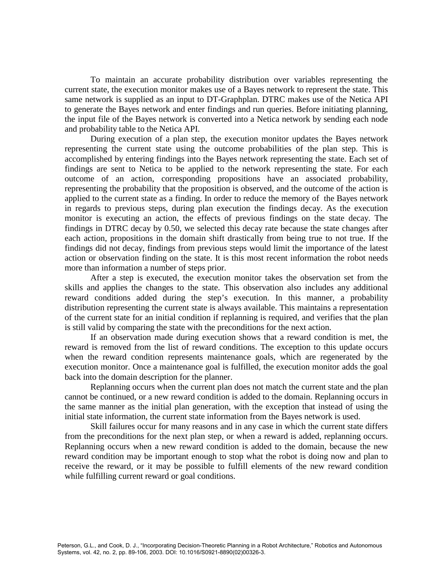To maintain an accurate probability distribution over variables representing the current state, the execution monitor makes use of a Bayes network to represent the state. This same network is supplied as an input to DT-Graphplan. DTRC makes use of the Netica API to generate the Bayes network and enter findings and run queries. Before initiating planning, the input file of the Bayes network is converted into a Netica network by sending each node and probability table to the Netica API.

 During execution of a plan step, the execution monitor updates the Bayes network representing the current state using the outcome probabilities of the plan step. This is accomplished by entering findings into the Bayes network representing the state. Each set of findings are sent to Netica to be applied to the network representing the state. For each outcome of an action, corresponding propositions have an associated probability, representing the probability that the proposition is observed, and the outcome of the action is applied to the current state as a finding. In order to reduce the memory of the Bayes network in regards to previous steps, during plan execution the findings decay. As the execution monitor is executing an action, the effects of previous findings on the state decay. The findings in DTRC decay by 0.50, we selected this decay rate because the state changes after each action, propositions in the domain shift drastically from being true to not true. If the findings did not decay, findings from previous steps would limit the importance of the latest action or observation finding on the state. It is this most recent information the robot needs more than information a number of steps prior.

After a step is executed, the execution monitor takes the observation set from the skills and applies the changes to the state. This observation also includes any additional reward conditions added during the step's execution. In this manner, a probability distribution representing the current state is always available. This maintains a representation of the current state for an initial condition if replanning is required, and verifies that the plan is still valid by comparing the state with the preconditions for the next action.

 If an observation made during execution shows that a reward condition is met, the reward is removed from the list of reward conditions. The exception to this update occurs when the reward condition represents maintenance goals, which are regenerated by the execution monitor. Once a maintenance goal is fulfilled, the execution monitor adds the goal back into the domain description for the planner.

 Replanning occurs when the current plan does not match the current state and the plan cannot be continued, or a new reward condition is added to the domain. Replanning occurs in the same manner as the initial plan generation, with the exception that instead of using the initial state information, the current state information from the Bayes network is used.

Skill failures occur for many reasons and in any case in which the current state differs from the preconditions for the next plan step, or when a reward is added, replanning occurs. Replanning occurs when a new reward condition is added to the domain, because the new reward condition may be important enough to stop what the robot is doing now and plan to receive the reward, or it may be possible to fulfill elements of the new reward condition while fulfilling current reward or goal conditions.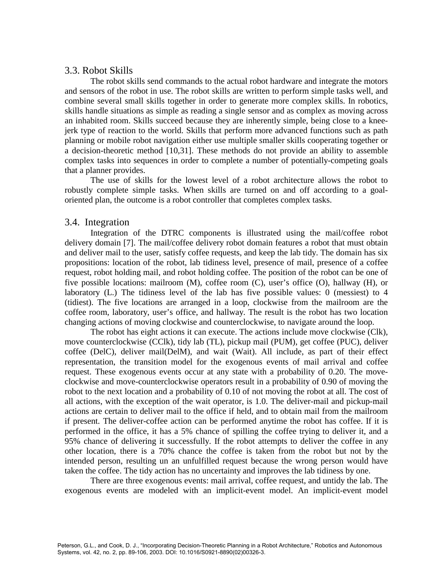## 3.3. Robot Skills

The robot skills send commands to the actual robot hardware and integrate the motors and sensors of the robot in use. The robot skills are written to perform simple tasks well, and combine several small skills together in order to generate more complex skills. In robotics, skills handle situations as simple as reading a single sensor and as complex as moving across an inhabited room. Skills succeed because they are inherently simple, being close to a kneejerk type of reaction to the world. Skills that perform more advanced functions such as path planning or mobile robot navigation either use multiple smaller skills cooperating together or a decision-theoretic method [10,31]. These methods do not provide an ability to assemble complex tasks into sequences in order to complete a number of potentially-competing goals that a planner provides.

 The use of skills for the lowest level of a robot architecture allows the robot to robustly complete simple tasks. When skills are turned on and off according to a goaloriented plan, the outcome is a robot controller that completes complex tasks.

#### 3.4. Integration

Integration of the DTRC components is illustrated using the mail/coffee robot delivery domain [7]. The mail/coffee delivery robot domain features a robot that must obtain and deliver mail to the user, satisfy coffee requests, and keep the lab tidy. The domain has six propositions: location of the robot, lab tidiness level, presence of mail, presence of a coffee request, robot holding mail, and robot holding coffee. The position of the robot can be one of five possible locations: mailroom (M), coffee room (C), user's office (O), hallway (H), or laboratory (L.) The tidiness level of the lab has five possible values: 0 (messiest) to 4 (tidiest). The five locations are arranged in a loop, clockwise from the mailroom are the coffee room, laboratory, user's office, and hallway. The result is the robot has two location changing actions of moving clockwise and counterclockwise, to navigate around the loop.

 The robot has eight actions it can execute. The actions include move clockwise (Clk), move counterclockwise (CClk), tidy lab (TL), pickup mail (PUM), get coffee (PUC), deliver coffee (DelC), deliver mail(DelM), and wait (Wait). All include, as part of their effect representation, the transition model for the exogenous events of mail arrival and coffee request. These exogenous events occur at any state with a probability of 0.20. The moveclockwise and move-counterclockwise operators result in a probability of 0.90 of moving the robot to the next location and a probability of 0.10 of not moving the robot at all. The cost of all actions, with the exception of the wait operator, is 1.0. The deliver-mail and pickup-mail actions are certain to deliver mail to the office if held, and to obtain mail from the mailroom if present. The deliver-coffee action can be performed anytime the robot has coffee. If it is performed in the office, it has a 5% chance of spilling the coffee trying to deliver it, and a 95% chance of delivering it successfully. If the robot attempts to deliver the coffee in any other location, there is a 70% chance the coffee is taken from the robot but not by the intended person, resulting un an unfulfilled request because the wrong person would have taken the coffee. The tidy action has no uncertainty and improves the lab tidiness by one.

 There are three exogenous events: mail arrival, coffee request, and untidy the lab. The exogenous events are modeled with an implicit-event model. An implicit-event model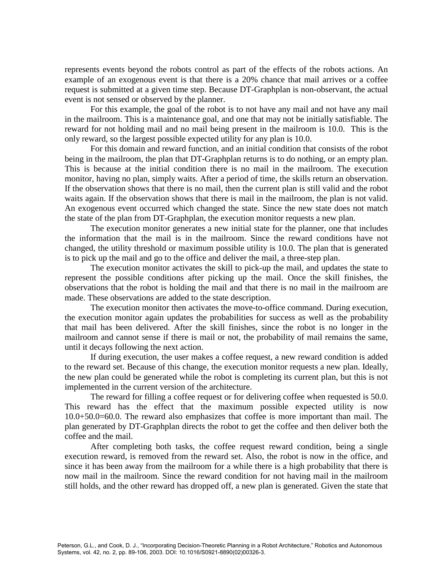represents events beyond the robots control as part of the effects of the robots actions. An example of an exogenous event is that there is a 20% chance that mail arrives or a coffee request is submitted at a given time step. Because DT-Graphplan is non-observant, the actual event is not sensed or observed by the planner.

 For this example, the goal of the robot is to not have any mail and not have any mail in the mailroom. This is a maintenance goal, and one that may not be initially satisfiable. The reward for not holding mail and no mail being present in the mailroom is 10.0. This is the only reward, so the largest possible expected utility for any plan is 10.0.

 For this domain and reward function, and an initial condition that consists of the robot being in the mailroom, the plan that DT-Graphplan returns is to do nothing, or an empty plan. This is because at the initial condition there is no mail in the mailroom. The execution monitor, having no plan, simply waits. After a period of time, the skills return an observation. If the observation shows that there is no mail, then the current plan is still valid and the robot waits again. If the observation shows that there is mail in the mailroom, the plan is not valid. An exogenous event occurred which changed the state. Since the new state does not match the state of the plan from DT-Graphplan, the execution monitor requests a new plan.

 The execution monitor generates a new initial state for the planner, one that includes the information that the mail is in the mailroom. Since the reward conditions have not changed, the utility threshold or maximum possible utility is 10.0. The plan that is generated is to pick up the mail and go to the office and deliver the mail, a three-step plan.

 The execution monitor activates the skill to pick-up the mail, and updates the state to represent the possible conditions after picking up the mail. Once the skill finishes, the observations that the robot is holding the mail and that there is no mail in the mailroom are made. These observations are added to the state description.

 The execution monitor then activates the move-to-office command. During execution, the execution monitor again updates the probabilities for success as well as the probability that mail has been delivered. After the skill finishes, since the robot is no longer in the mailroom and cannot sense if there is mail or not, the probability of mail remains the same, until it decays following the next action.

 If during execution, the user makes a coffee request, a new reward condition is added to the reward set. Because of this change, the execution monitor requests a new plan. Ideally, the new plan could be generated while the robot is completing its current plan, but this is not implemented in the current version of the architecture.

 The reward for filling a coffee request or for delivering coffee when requested is 50.0. This reward has the effect that the maximum possible expected utility is now 10.0+50.0=60.0. The reward also emphasizes that coffee is more important than mail. The plan generated by DT-Graphplan directs the robot to get the coffee and then deliver both the coffee and the mail.

 After completing both tasks, the coffee request reward condition, being a single execution reward, is removed from the reward set. Also, the robot is now in the office, and since it has been away from the mailroom for a while there is a high probability that there is now mail in the mailroom. Since the reward condition for not having mail in the mailroom still holds, and the other reward has dropped off, a new plan is generated. Given the state that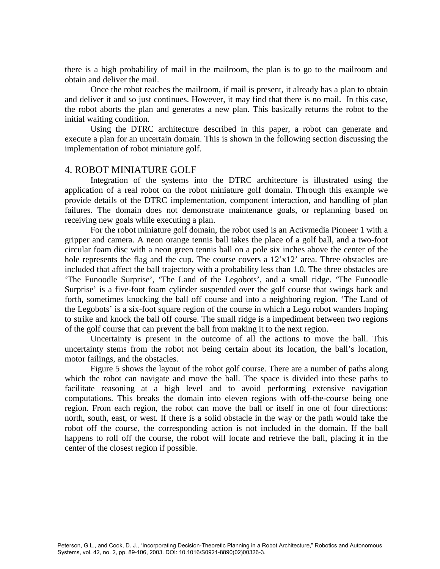there is a high probability of mail in the mailroom, the plan is to go to the mailroom and obtain and deliver the mail.

 Once the robot reaches the mailroom, if mail is present, it already has a plan to obtain and deliver it and so just continues. However, it may find that there is no mail. In this case, the robot aborts the plan and generates a new plan. This basically returns the robot to the initial waiting condition.

 Using the DTRC architecture described in this paper, a robot can generate and execute a plan for an uncertain domain. This is shown in the following section discussing the implementation of robot miniature golf.

## 4. ROBOT MINIATURE GOLF

Integration of the systems into the DTRC architecture is illustrated using the application of a real robot on the robot miniature golf domain. Through this example we provide details of the DTRC implementation, component interaction, and handling of plan failures. The domain does not demonstrate maintenance goals, or replanning based on receiving new goals while executing a plan.

For the robot miniature golf domain, the robot used is an Activmedia Pioneer 1 with a gripper and camera. A neon orange tennis ball takes the place of a golf ball, and a two-foot circular foam disc with a neon green tennis ball on a pole six inches above the center of the hole represents the flag and the cup. The course covers a  $12'x12'$  area. Three obstacles are included that affect the ball trajectory with a probability less than 1.0. The three obstacles are 'The Funoodle Surprise', 'The Land of the Legobots', and a small ridge. 'The Funoodle Surprise' is a five-foot foam cylinder suspended over the golf course that swings back and forth, sometimes knocking the ball off course and into a neighboring region. 'The Land of the Legobots' is a six-foot square region of the course in which a Lego robot wanders hoping to strike and knock the ball off course. The small ridge is a impediment between two regions of the golf course that can prevent the ball from making it to the next region.

Uncertainty is present in the outcome of all the actions to move the ball. This uncertainty stems from the robot not being certain about its location, the ball's location, motor failings, and the obstacles.

Figure 5 shows the layout of the robot golf course. There are a number of paths along which the robot can navigate and move the ball. The space is divided into these paths to facilitate reasoning at a high level and to avoid performing extensive navigation computations. This breaks the domain into eleven regions with off-the-course being one region. From each region, the robot can move the ball or itself in one of four directions: north, south, east, or west. If there is a solid obstacle in the way or the path would take the robot off the course, the corresponding action is not included in the domain. If the ball happens to roll off the course, the robot will locate and retrieve the ball, placing it in the center of the closest region if possible.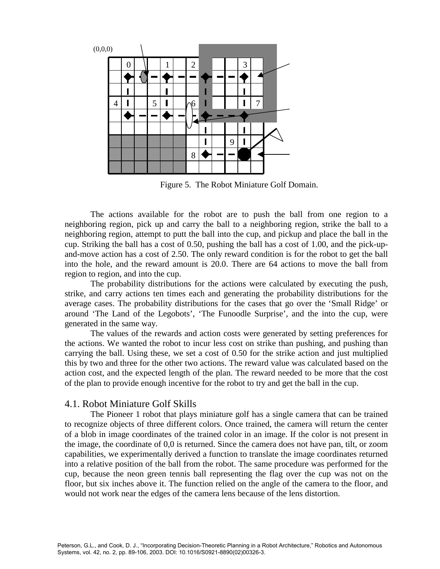

Figure 5. The Robot Miniature Golf Domain.

 The actions available for the robot are to push the ball from one region to a neighboring region, pick up and carry the ball to a neighboring region, strike the ball to a neighboring region, attempt to putt the ball into the cup, and pickup and place the ball in the cup. Striking the ball has a cost of 0.50, pushing the ball has a cost of 1.00, and the pick-upand-move action has a cost of 2.50. The only reward condition is for the robot to get the ball into the hole, and the reward amount is 20.0. There are 64 actions to move the ball from region to region, and into the cup.

 The probability distributions for the actions were calculated by executing the push, strike, and carry actions ten times each and generating the probability distributions for the average cases. The probability distributions for the cases that go over the 'Small Ridge' or around 'The Land of the Legobots', 'The Funoodle Surprise', and the into the cup, were generated in the same way.

The values of the rewards and action costs were generated by setting preferences for the actions. We wanted the robot to incur less cost on strike than pushing, and pushing than carrying the ball. Using these, we set a cost of 0.50 for the strike action and just multiplied this by two and three for the other two actions. The reward value was calculated based on the action cost, and the expected length of the plan. The reward needed to be more that the cost of the plan to provide enough incentive for the robot to try and get the ball in the cup.

## 4.1. Robot Miniature Golf Skills

The Pioneer 1 robot that plays miniature golf has a single camera that can be trained to recognize objects of three different colors. Once trained, the camera will return the center of a blob in image coordinates of the trained color in an image. If the color is not present in the image, the coordinate of 0,0 is returned. Since the camera does not have pan, tilt, or zoom capabilities, we experimentally derived a function to translate the image coordinates returned into a relative position of the ball from the robot. The same procedure was performed for the cup, because the neon green tennis ball representing the flag over the cup was not on the floor, but six inches above it. The function relied on the angle of the camera to the floor, and would not work near the edges of the camera lens because of the lens distortion.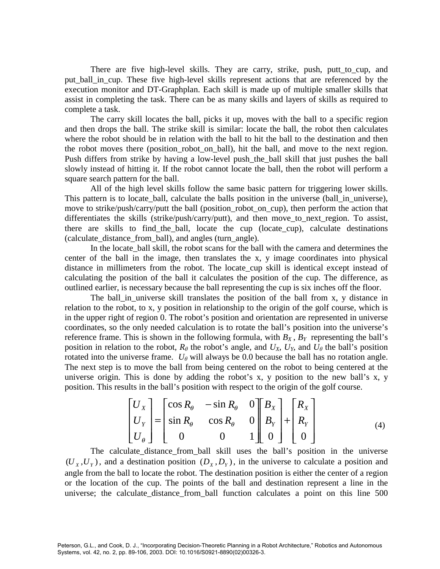There are five high-level skills. They are carry, strike, push, putt\_to\_cup, and put ball in cup. These five high-level skills represent actions that are referenced by the execution monitor and DT-Graphplan. Each skill is made up of multiple smaller skills that assist in completing the task. There can be as many skills and layers of skills as required to complete a task.

 The carry skill locates the ball, picks it up, moves with the ball to a specific region and then drops the ball. The strike skill is similar: locate the ball, the robot then calculates where the robot should be in relation with the ball to hit the ball to the destination and then the robot moves there (position\_robot\_on\_ball), hit the ball, and move to the next region. Push differs from strike by having a low-level push the ball skill that just pushes the ball slowly instead of hitting it. If the robot cannot locate the ball, then the robot will perform a square search pattern for the ball.

All of the high level skills follow the same basic pattern for triggering lower skills. This pattern is to locate ball, calculate the balls position in the universe (ball in universe), move to strike/push/carry/putt the ball (position robot on cup), then perform the action that differentiates the skills (strike/push/carry/putt), and then move\_to\_next\_region. To assist, there are skills to find\_the\_ball, locate the cup (locate\_cup), calculate destinations (calculate\_distance\_from\_ball), and angles (turn\_angle).

In the locate\_ball skill, the robot scans for the ball with the camera and determines the center of the ball in the image, then translates the x, y image coordinates into physical distance in millimeters from the robot. The locate\_cup skill is identical except instead of calculating the position of the ball it calculates the position of the cup. The difference, as outlined earlier, is necessary because the ball representing the cup is six inches off the floor.

The ball\_in\_universe skill translates the position of the ball from x, y distance in relation to the robot, to x, y position in relationship to the origin of the golf course, which is in the upper right of region 0. The robot's position and orientation are represented in universe coordinates, so the only needed calculation is to rotate the ball's position into the universe's reference frame. This is shown in the following formula, with  $B_X$ ,  $B_Y$  representing the ball's position in relation to the robot,  $R_{\theta}$  the robot's angle, and  $U_X$ ,  $U_Y$ , and  $U_{\theta}$  the ball's position rotated into the universe frame.  $U_{\theta}$  will always be 0.0 because the ball has no rotation angle. The next step is to move the ball from being centered on the robot to being centered at the universe origin. This is done by adding the robot's x, y position to the new ball's x, y position. This results in the ball's position with respect to the origin of the golf course.

$$
\begin{bmatrix} U_X \\ U_Y \\ U_\theta \end{bmatrix} = \begin{bmatrix} \cos R_\theta & -\sin R_\theta & 0 \\ \sin R_\theta & \cos R_\theta & 0 \\ 0 & 0 & 1 \end{bmatrix} \begin{bmatrix} B_X \\ B_Y \\ 0 \end{bmatrix} + \begin{bmatrix} R_X \\ R_Y \\ 0 \end{bmatrix}
$$
 (4)

The calculate distance from ball skill uses the ball's position in the universe  $(U_x, U_y)$ , and a destination position  $(D_x, D_y)$ , in the universe to calculate a position and angle from the ball to locate the robot. The destination position is either the center of a region or the location of the cup. The points of the ball and destination represent a line in the universe; the calculate\_distance\_from\_ball function calculates a point on this line 500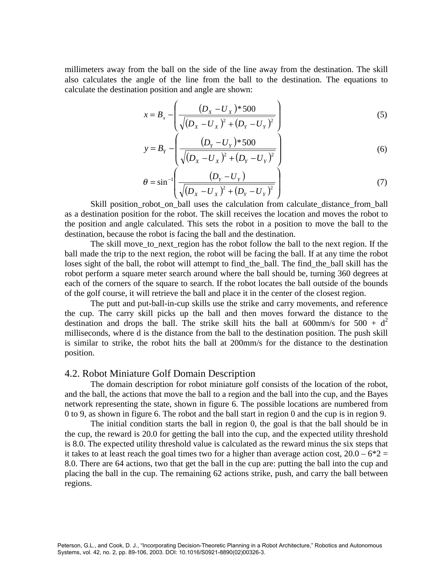millimeters away from the ball on the side of the line away from the destination. The skill also calculates the angle of the line from the ball to the destination. The equations to calculate the destination position and angle are shown:

$$
x = B_x - \left(\frac{(D_x - U_x)^* 500}{\sqrt{(D_x - U_x)^2 + (D_y - U_y)^2}}\right)
$$
 (5)

$$
y = B_Y - \left( \frac{(D_Y - U_Y)^* 500}{\sqrt{(D_X - U_X)^2 + (D_Y - U_Y)^2}} \right)
$$
(6)

$$
\theta = \sin^{-1}\left(\frac{(D_{Y} - U_{Y})}{\sqrt{(D_{X} - U_{X})^{2} + (D_{Y} - U_{Y})^{2}}}\right)
$$
\n(7)

 Skill position\_robot\_on\_ball uses the calculation from calculate\_distance\_from\_ball as a destination position for the robot. The skill receives the location and moves the robot to the position and angle calculated. This sets the robot in a position to move the ball to the destination, because the robot is facing the ball and the destination.

The skill move to next region has the robot follow the ball to the next region. If the ball made the trip to the next region, the robot will be facing the ball. If at any time the robot loses sight of the ball, the robot will attempt to find the ball. The find the ball skill has the robot perform a square meter search around where the ball should be, turning 360 degrees at each of the corners of the square to search. If the robot locates the ball outside of the bounds of the golf course, it will retrieve the ball and place it in the center of the closest region.

 The putt and put-ball-in-cup skills use the strike and carry movements, and reference the cup. The carry skill picks up the ball and then moves forward the distance to the destination and drops the ball. The strike skill hits the ball at 600mm/s for 500 +  $d^2$ milliseconds, where d is the distance from the ball to the destination position. The push skill is similar to strike, the robot hits the ball at 200mm/s for the distance to the destination position.

#### 4.2. Robot Miniature Golf Domain Description

The domain description for robot miniature golf consists of the location of the robot, and the ball, the actions that move the ball to a region and the ball into the cup, and the Bayes network representing the state, shown in figure 6. The possible locations are numbered from 0 to 9, as shown in figure 6. The robot and the ball start in region 0 and the cup is in region 9.

The initial condition starts the ball in region 0, the goal is that the ball should be in the cup, the reward is 20.0 for getting the ball into the cup, and the expected utility threshold is 8.0. The expected utility threshold value is calculated as the reward minus the six steps that it takes to at least reach the goal times two for a higher than average action cost,  $20.0 - 6*2 =$ 8.0. There are 64 actions, two that get the ball in the cup are: putting the ball into the cup and placing the ball in the cup. The remaining 62 actions strike, push, and carry the ball between regions.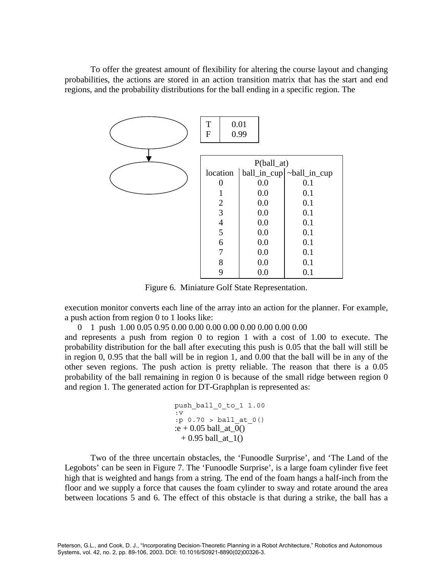To offer the greatest amount of flexibility for altering the course layout and changing probabilities, the actions are stored in an action transition matrix that has the start and end regions, and the probability distributions for the ball ending in a specific region. The

| 0.01<br>T<br>$\boldsymbol{F}$ | 0.99 |                                  |  |
|-------------------------------|------|----------------------------------|--|
| $P(ball_at)$                  |      |                                  |  |
| location                      |      | $ball_in_cup$ $\sim$ ball_in_cup |  |
| 0                             | 0.0  | 0.1                              |  |
| 1                             | 0.0  | 0.1                              |  |
| $\frac{2}{3}$                 | 0.0  | 0.1                              |  |
|                               | 0.0  | 0.1                              |  |
| $\overline{4}$                | 0.0  | 0.1                              |  |
| 5                             | 0.0  | 0.1                              |  |
| 6                             | 0.0  | 0.1                              |  |
| 7                             | 0.0  | 0.1                              |  |
| 8                             | 0.0  | 0.1                              |  |
| 9                             | 0.0  | 0.1                              |  |

Figure 6. Miniature Golf State Representation.

execution monitor converts each line of the array into an action for the planner. For example, a push action from region 0 to 1 looks like:

0 1 push 1.00 0.05 0.95 0.00 0.00 0.00 0.00 0.00 0.00 0.00 0.00

and represents a push from region 0 to region 1 with a cost of 1.00 to execute. The probability distribution for the ball after executing this push is 0.05 that the ball will still be in region 0, 0.95 that the ball will be in region 1, and 0.00 that the ball will be in any of the other seven regions. The push action is pretty reliable. The reason that there is a 0.05 probability of the ball remaining in region 0 is because of the small ridge between region 0 and region 1. The generated action for DT-Graphplan is represented as:

```
push ball 0 to 1 1.00
:v 
:p 0.70 > ball at 0():e + 0.05 ball at \overline{0}()
 + 0.95 ball at 1()
```
Two of the three uncertain obstacles, the 'Funoodle Surprise', and 'The Land of the Legobots' can be seen in Figure 7. The 'Funoodle Surprise', is a large foam cylinder five feet high that is weighted and hangs from a string. The end of the foam hangs a half-inch from the floor and we supply a force that causes the foam cylinder to sway and rotate around the area between locations 5 and 6. The effect of this obstacle is that during a strike, the ball has a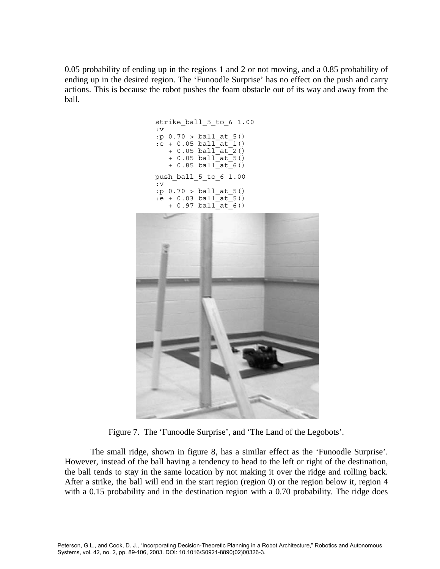0.05 probability of ending up in the regions 1 and 2 or not moving, and a 0.85 probability of ending up in the desired region. The 'Funoodle Surprise' has no effect on the push and carry actions. This is because the robot pushes the foam obstacle out of its way and away from the ball.



Figure 7. The 'Funoodle Surprise', and 'The Land of the Legobots'.

 The small ridge, shown in figure 8, has a similar effect as the 'Funoodle Surprise'. However, instead of the ball having a tendency to head to the left or right of the destination, the ball tends to stay in the same location by not making it over the ridge and rolling back. After a strike, the ball will end in the start region (region 0) or the region below it, region 4 with a 0.15 probability and in the destination region with a 0.70 probability. The ridge does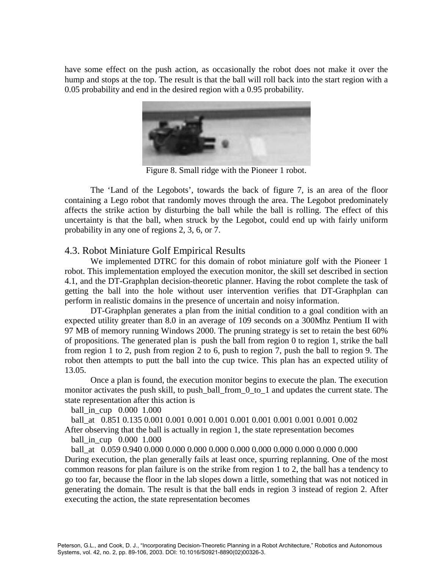have some effect on the push action, as occasionally the robot does not make it over the hump and stops at the top. The result is that the ball will roll back into the start region with a 0.05 probability and end in the desired region with a 0.95 probability.



Figure 8. Small ridge with the Pioneer 1 robot.

The 'Land of the Legobots', towards the back of figure 7, is an area of the floor containing a Lego robot that randomly moves through the area. The Legobot predominately affects the strike action by disturbing the ball while the ball is rolling. The effect of this uncertainty is that the ball, when struck by the Legobot, could end up with fairly uniform probability in any one of regions 2, 3, 6, or 7.

# 4.3. Robot Miniature Golf Empirical Results

 We implemented DTRC for this domain of robot miniature golf with the Pioneer 1 robot. This implementation employed the execution monitor, the skill set described in section 4.1, and the DT-Graphplan decision-theoretic planner. Having the robot complete the task of getting the ball into the hole without user intervention verifies that DT-Graphplan can perform in realistic domains in the presence of uncertain and noisy information.

DT-Graphplan generates a plan from the initial condition to a goal condition with an expected utility greater than 8.0 in an average of 109 seconds on a 300Mhz Pentium II with 97 MB of memory running Windows 2000. The pruning strategy is set to retain the best 60% of propositions. The generated plan is push the ball from region 0 to region 1, strike the ball from region 1 to 2, push from region 2 to 6, push to region 7, push the ball to region 9. The robot then attempts to putt the ball into the cup twice. This plan has an expected utility of 13.05.

Once a plan is found, the execution monitor begins to execute the plan. The execution monitor activates the push skill, to push\_ball\_from\_0\_to\_1 and updates the current state. The state representation after this action is

ball\_in\_cup 0.000 1.000

 ball\_at 0.851 0.135 0.001 0.001 0.001 0.001 0.001 0.001 0.001 0.001 0.001 0.002 After observing that the ball is actually in region 1, the state representation becomes

ball in cup 0.000 1.000

ball\_at 0.059 0.940 0.000 0.000 0.000 0.000 0.000 0.000 0.000 0.000 0.000 0.000

During execution, the plan generally fails at least once, spurring replanning. One of the most common reasons for plan failure is on the strike from region 1 to 2, the ball has a tendency to go too far, because the floor in the lab slopes down a little, something that was not noticed in generating the domain. The result is that the ball ends in region 3 instead of region 2. After executing the action, the state representation becomes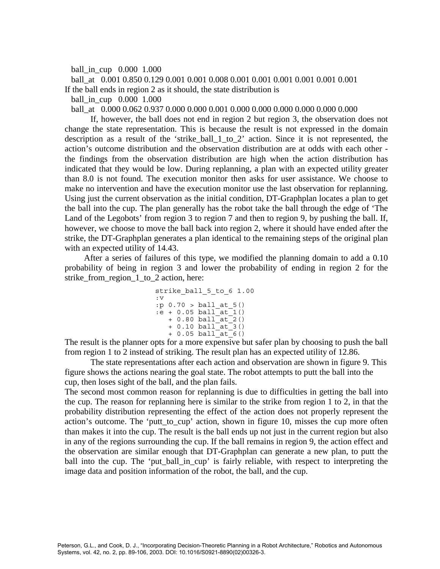ball in cup 0.000 1.000

 ball\_at 0.001 0.850 0.129 0.001 0.001 0.008 0.001 0.001 0.001 0.001 0.001 0.001 If the ball ends in region 2 as it should, the state distribution is

ball in cup 0.000 1.000

ball\_at 0.000 0.062 0.937 0.000 0.000 0.001 0.000 0.000 0.000 0.000 0.000 0.000 0.000 0.000 0.000 0.000 0.000 0.000 0.000 0.000 0.000 0.000 0.000 0.000 0.000 0.000 0.000 0.000 0.000 0.000 0.000 0.000 0.000 0.000 0.000 0.00

If, however, the ball does not end in region 2 but region 3, the observation does not change the state representation. This is because the result is not expressed in the domain description as a result of the 'strike ball 1 to 2' action. Since it is not represented, the action's outcome distribution and the observation distribution are at odds with each other the findings from the observation distribution are high when the action distribution has indicated that they would be low. During replanning, a plan with an expected utility greater than 8.0 is not found. The execution monitor then asks for user assistance. We choose to make no intervention and have the execution monitor use the last observation for replanning. Using just the current observation as the initial condition, DT-Graphplan locates a plan to get the ball into the cup. The plan generally has the robot take the ball through the edge of 'The Land of the Legobots' from region 3 to region 7 and then to region 9, by pushing the ball. If, however, we choose to move the ball back into region 2, where it should have ended after the strike, the DT-Graphplan generates a plan identical to the remaining steps of the original plan with an expected utility of 14.43.

After a series of failures of this type, we modified the planning domain to add a 0.10 probability of being in region 3 and lower the probability of ending in region 2 for the strike from region 1 to 2 action, here:

```
strike ball 5 to 6 1.00
:v 
:p 0.70 > ball_at_5() 
:e + 0.05 ball at^-1()+ 0.80 ball at^-2()+ 0.10 ballat^-3()+ 0.05 ball at^-6()
```
The result is the planner opts for a more expensive but safer plan by choosing to push the ball from region 1 to 2 instead of striking. The result plan has an expected utility of 12.86.

The state representations after each action and observation are shown in figure 9. This figure shows the actions nearing the goal state. The robot attempts to putt the ball into the cup, then loses sight of the ball, and the plan fails.

The second most common reason for replanning is due to difficulties in getting the ball into the cup. The reason for replanning here is similar to the strike from region 1 to 2, in that the probability distribution representing the effect of the action does not properly represent the action's outcome. The 'putt\_to\_cup' action, shown in figure 10, misses the cup more often than makes it into the cup. The result is the ball ends up not just in the current region but also in any of the regions surrounding the cup. If the ball remains in region 9, the action effect and the observation are similar enough that DT-Graphplan can generate a new plan, to putt the ball into the cup. The 'put\_ball\_in\_cup' is fairly reliable, with respect to interpreting the image data and position information of the robot, the ball, and the cup.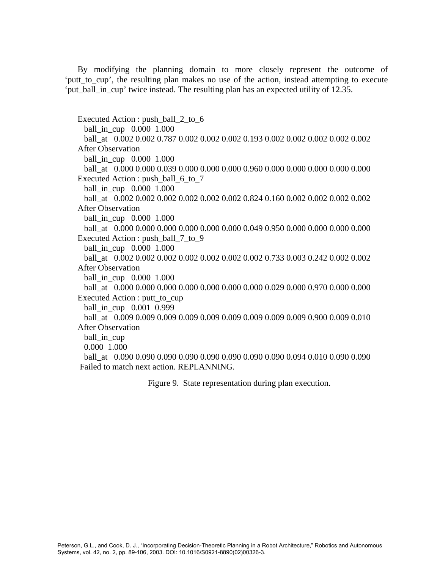By modifying the planning domain to more closely represent the outcome of 'putt\_to\_cup', the resulting plan makes no use of the action, instead attempting to execute 'put\_ball\_in\_cup' twice instead. The resulting plan has an expected utility of 12.35.

Executed Action : push\_ball\_2\_to\_6 ball in cup 0.000 1.000 ball\_at 0.002 0.002 0.787 0.002 0.002 0.002 0.193 0.002 0.002 0.002 0.002 0.002 After Observation ball in cup 0.000 1.000 ball\_at 0.000 0.000 0.039 0.000 0.000 0.000 0.960 0.000 0.000 0.000 0.000 0.000 Executed Action : push\_ball\_6\_to\_7 ball\_in\_cup 0.000 1.000 ball\_at 0.002 0.002 0.002 0.002 0.002 0.002 0.824 0.160 0.002 0.002 0.002 0.002 After Observation ball in cup 0.000 1.000 ball\_at 0.000 0.000 0.000 0.000 0.000 0.000 0.049 0.950 0.000 0.000 0.000 0.000 Executed Action : push\_ball\_7\_ to\_9 ball\_in\_cup 0.000 1.000 ball\_at 0.002 0.002 0.002 0.002 0.002 0.002 0.002 0.733 0.003 0.242 0.002 0.002 After Observation ball in cup 0.000 1.000 ball\_at 0.000 0.000 0.000 0.000 0.000 0.000 0.000 0.029 0.000 0.970 0.000 0.000 Executed Action : putt\_to\_cup ball in cup 0.001 0.999 ball\_at 0.009 0.009 0.009 0.009 0.009 0.009 0.009 0.009 0.009 0.900 0.009 0.010 After Observation ball in cup 0.000 1.000 ball\_at 0.090 0.090 0.090 0.090 0.090 0.090 0.090 0.090 0.094 0.010 0.090 0.090 Failed to match next action. REPLANNING.

Figure 9. State representation during plan execution.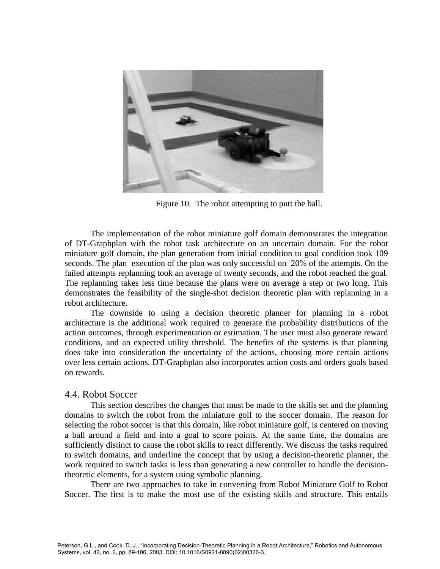

Figure 10. The robot attempting to putt the ball.

The implementation of the robot miniature golf domain demonstrates the integration of DT-Graphplan with the robot task architecture on an uncertain domain. For the robot miniature golf domain, the plan generation from initial condition to goal condition took 109 seconds. The plan execution of the plan was only successful on 20% of the attempts. On the failed attempts replanning took an average of twenty seconds, and the robot reached the goal. The replanning takes less time because the plans were on average a step or two long. This demonstrates the feasibility of the single-shot decision theoretic plan with replanning in a robot architecture.

The downside to using a decision theoretic planner for planning in a robot architecture is the additional work required to generate the probability distributions of the action outcomes, through experimentation or estimation. The user must also generate reward conditions, and an expected utility threshold. The benefits of the systems is that planning does take into consideration the uncertainty of the actions, choosing more certain actions over less certain actions. DT-Graphplan also incorporates action costs and orders goals based on rewards.

## 4.4. Robot Soccer

 This section describes the changes that must be made to the skills set and the planning domains to switch the robot from the miniature golf to the soccer domain. The reason for selecting the robot soccer is that this domain, like robot miniature golf, is centered on moving a ball around a field and into a goal to score points. At the same time, the domains are sufficiently distinct to cause the robot skills to react differently. We discuss the tasks required to switch domains, and underline the concept that by using a decision-theoretic planner, the work required to switch tasks is less than generating a new controller to handle the decisiontheoretic elements, for a system using symbolic planning.

There are two approaches to take in converting from Robot Miniature Golf to Robot Soccer. The first is to make the most use of the existing skills and structure. This entails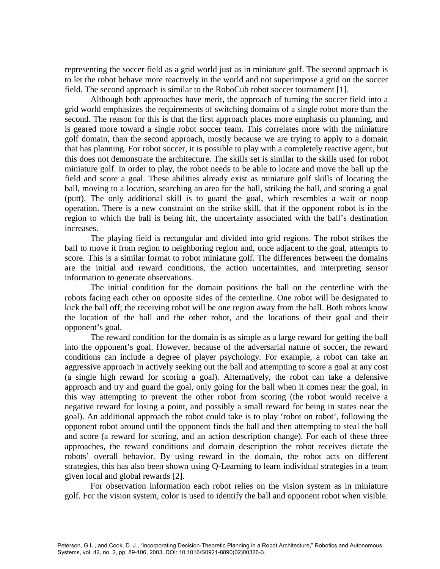representing the soccer field as a grid world just as in miniature golf. The second approach is to let the robot behave more reactively in the world and not superimpose a grid on the soccer field. The second approach is similar to the RoboCub robot soccer tournament [1].

Although both approaches have merit, the approach of turning the soccer field into a grid world emphasizes the requirements of switching domains of a single robot more than the second. The reason for this is that the first approach places more emphasis on planning, and is geared more toward a single robot soccer team. This correlates more with the miniature golf domain, than the second approach, mostly because we are trying to apply to a domain that has planning. For robot soccer, it is possible to play with a completely reactive agent, but this does not demonstrate the architecture. The skills set is similar to the skills used for robot miniature golf. In order to play, the robot needs to be able to locate and move the ball up the field and score a goal. These abilities already exist as miniature golf skills of locating the ball, moving to a location, searching an area for the ball, striking the ball, and scoring a goal (putt). The only additional skill is to guard the goal, which resembles a wait or noop operation. There is a new constraint on the strike skill, that if the opponent robot is in the region to which the ball is being hit, the uncertainty associated with the ball's destination increases.

 The playing field is rectangular and divided into grid regions. The robot strikes the ball to move it from region to neighboring region and, once adjacent to the goal, attempts to score. This is a similar format to robot miniature golf. The differences between the domains are the initial and reward conditions, the action uncertainties, and interpreting sensor information to generate observations.

 The initial condition for the domain positions the ball on the centerline with the robots facing each other on opposite sides of the centerline. One robot will be designated to kick the ball off; the receiving robot will be one region away from the ball. Both robots know the location of the ball and the other robot, and the locations of their goal and their opponent's goal.

 The reward condition for the domain is as simple as a large reward for getting the ball into the opponent's goal. However, because of the adversarial nature of soccer, the reward conditions can include a degree of player psychology. For example, a robot can take an aggressive approach in actively seeking out the ball and attempting to score a goal at any cost (a single high reward for scoring a goal). Alternatively, the robot can take a defensive approach and try and guard the goal, only going for the ball when it comes near the goal, in this way attempting to prevent the other robot from scoring (the robot would receive a negative reward for losing a point, and possibly a small reward for being in states near the goal). An additional approach the robot could take is to play 'robot on robot', following the opponent robot around until the opponent finds the ball and then attempting to steal the ball and score (a reward for scoring, and an action description change). For each of these three approaches, the reward conditions and domain description the robot receives dictate the robots' overall behavior. By using reward in the domain, the robot acts on different strategies, this has also been shown using Q-Learning to learn individual strategies in a team given local and global rewards [2].

 For observation information each robot relies on the vision system as in miniature golf. For the vision system, color is used to identify the ball and opponent robot when visible.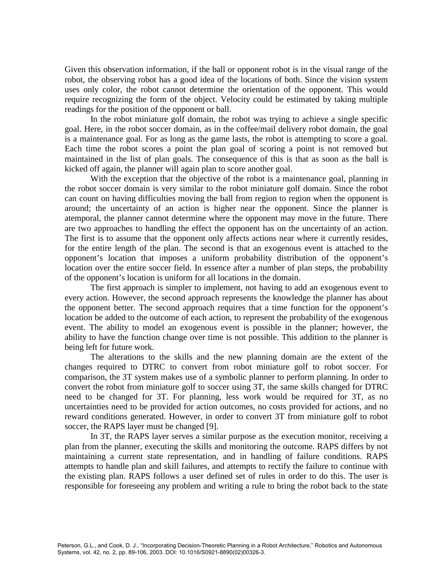Given this observation information, if the ball or opponent robot is in the visual range of the robot, the observing robot has a good idea of the locations of both. Since the vision system uses only color, the robot cannot determine the orientation of the opponent. This would require recognizing the form of the object. Velocity could be estimated by taking multiple readings for the position of the opponent or ball.

In the robot miniature golf domain, the robot was trying to achieve a single specific goal. Here, in the robot soccer domain, as in the coffee/mail delivery robot domain, the goal is a maintenance goal. For as long as the game lasts, the robot is attempting to score a goal. Each time the robot scores a point the plan goal of scoring a point is not removed but maintained in the list of plan goals. The consequence of this is that as soon as the ball is kicked off again, the planner will again plan to score another goal.

With the exception that the objective of the robot is a maintenance goal, planning in the robot soccer domain is very similar to the robot miniature golf domain. Since the robot can count on having difficulties moving the ball from region to region when the opponent is around; the uncertainty of an action is higher near the opponent. Since the planner is atemporal, the planner cannot determine where the opponent may move in the future. There are two approaches to handling the effect the opponent has on the uncertainty of an action. The first is to assume that the opponent only affects actions near where it currently resides, for the entire length of the plan. The second is that an exogenous event is attached to the opponent's location that imposes a uniform probability distribution of the opponent's location over the entire soccer field. In essence after a number of plan steps, the probability of the opponent's location is uniform for all locations in the domain.

The first approach is simpler to implement, not having to add an exogenous event to every action. However, the second approach represents the knowledge the planner has about the opponent better. The second approach requires that a time function for the opponent's location be added to the outcome of each action, to represent the probability of the exogenous event. The ability to model an exogenous event is possible in the planner; however, the ability to have the function change over time is not possible. This addition to the planner is being left for future work.

 The alterations to the skills and the new planning domain are the extent of the changes required to DTRC to convert from robot miniature golf to robot soccer. For comparison, the 3T system makes use of a symbolic planner to perform planning. In order to convert the robot from miniature golf to soccer using 3T, the same skills changed for DTRC need to be changed for 3T. For planning, less work would be required for 3T, as no uncertainties need to be provided for action outcomes, no costs provided for actions, and no reward conditions generated. However, in order to convert 3T from miniature golf to robot soccer, the RAPS layer must be changed [9].

 In 3T, the RAPS layer serves a similar purpose as the execution monitor, receiving a plan from the planner, executing the skills and monitoring the outcome. RAPS differs by not maintaining a current state representation, and in handling of failure conditions. RAPS attempts to handle plan and skill failures, and attempts to rectify the failure to continue with the existing plan. RAPS follows a user defined set of rules in order to do this. The user is responsible for foreseeing any problem and writing a rule to bring the robot back to the state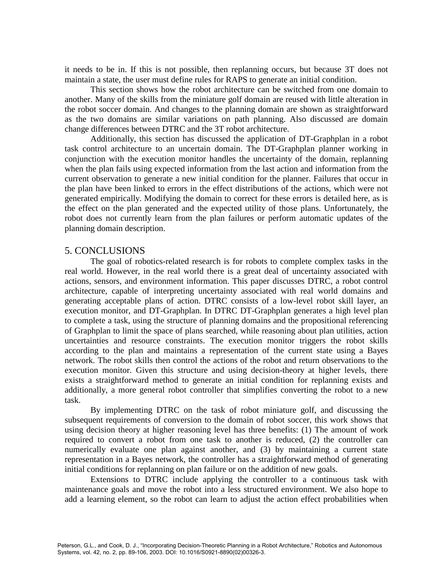it needs to be in. If this is not possible, then replanning occurs, but because 3T does not maintain a state, the user must define rules for RAPS to generate an initial condition.

 This section shows how the robot architecture can be switched from one domain to another. Many of the skills from the miniature golf domain are reused with little alteration in the robot soccer domain. And changes to the planning domain are shown as straightforward as the two domains are similar variations on path planning. Also discussed are domain change differences between DTRC and the 3T robot architecture.

 Additionally, this section has discussed the application of DT-Graphplan in a robot task control architecture to an uncertain domain. The DT-Graphplan planner working in conjunction with the execution monitor handles the uncertainty of the domain, replanning when the plan fails using expected information from the last action and information from the current observation to generate a new initial condition for the planner. Failures that occur in the plan have been linked to errors in the effect distributions of the actions, which were not generated empirically. Modifying the domain to correct for these errors is detailed here, as is the effect on the plan generated and the expected utility of those plans. Unfortunately, the robot does not currently learn from the plan failures or perform automatic updates of the planning domain description.

#### 5. CONCLUSIONS

The goal of robotics-related research is for robots to complete complex tasks in the real world. However, in the real world there is a great deal of uncertainty associated with actions, sensors, and environment information. This paper discusses DTRC, a robot control architecture, capable of interpreting uncertainty associated with real world domains and generating acceptable plans of action. DTRC consists of a low-level robot skill layer, an execution monitor, and DT-Graphplan. In DTRC DT-Graphplan generates a high level plan to complete a task, using the structure of planning domains and the propositional referencing of Graphplan to limit the space of plans searched, while reasoning about plan utilities, action uncertainties and resource constraints. The execution monitor triggers the robot skills according to the plan and maintains a representation of the current state using a Bayes network. The robot skills then control the actions of the robot and return observations to the execution monitor. Given this structure and using decision-theory at higher levels, there exists a straightforward method to generate an initial condition for replanning exists and additionally, a more general robot controller that simplifies converting the robot to a new task.

By implementing DTRC on the task of robot miniature golf, and discussing the subsequent requirements of conversion to the domain of robot soccer, this work shows that using decision theory at higher reasoning level has three benefits: (1) The amount of work required to convert a robot from one task to another is reduced, (2) the controller can numerically evaluate one plan against another, and (3) by maintaining a current state representation in a Bayes network, the controller has a straightforward method of generating initial conditions for replanning on plan failure or on the addition of new goals.

Extensions to DTRC include applying the controller to a continuous task with maintenance goals and move the robot into a less structured environment. We also hope to add a learning element, so the robot can learn to adjust the action effect probabilities when